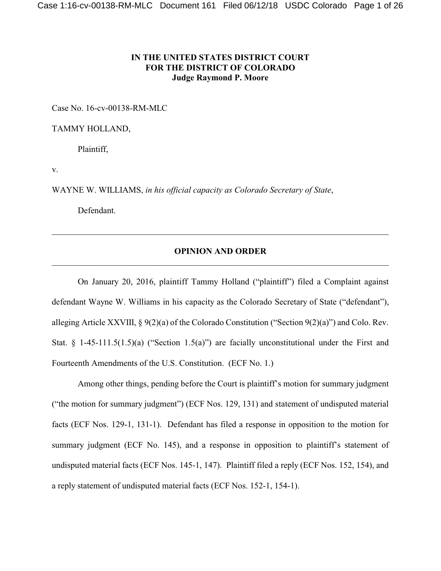# **IN THE UNITED STATES DISTRICT COURT FOR THE DISTRICT OF COLORADO Judge Raymond P. Moore**

Case No. 16-cv-00138-RM-MLC

TAMMY HOLLAND,

Plaintiff,

v.

WAYNE W. WILLIAMS, *in his official capacity as Colorado Secretary of State*,

Defendant.

## **OPINION AND ORDER** \_\_\_\_\_\_\_\_\_\_\_\_\_\_\_\_\_\_\_\_\_\_\_\_\_\_\_\_\_\_\_\_\_\_\_\_\_\_\_\_\_\_\_\_\_\_\_\_\_\_\_\_\_\_\_\_\_\_\_\_\_\_\_\_\_\_\_\_\_\_\_\_\_\_\_\_\_\_

On January 20, 2016, plaintiff Tammy Holland ("plaintiff") filed a Complaint against defendant Wayne W. Williams in his capacity as the Colorado Secretary of State ("defendant"), alleging Article XXVIII, § 9(2)(a) of the Colorado Constitution ("Section 9(2)(a)") and Colo. Rev. Stat. § 1-45-111.5(1.5)(a) ("Section 1.5(a)") are facially unconstitutional under the First and Fourteenth Amendments of the U.S. Constitution. (ECF No. 1.)

Among other things, pending before the Court is plaintiff's motion for summary judgment ("the motion for summary judgment") (ECF Nos. 129, 131) and statement of undisputed material facts (ECF Nos. 129-1, 131-1). Defendant has filed a response in opposition to the motion for summary judgment (ECF No. 145), and a response in opposition to plaintiff's statement of undisputed material facts (ECF Nos. 145-1, 147). Plaintiff filed a reply (ECF Nos. 152, 154), and a reply statement of undisputed material facts (ECF Nos. 152-1, 154-1).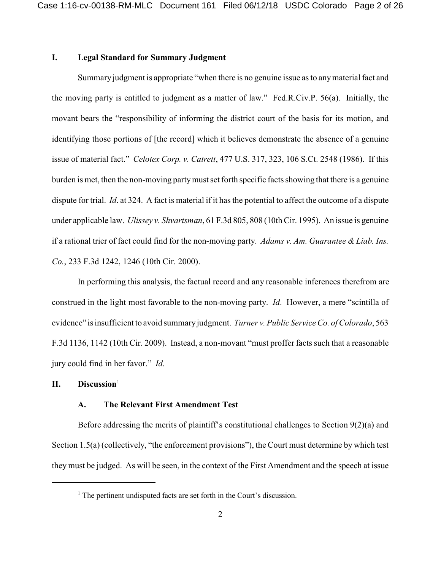## **I. Legal Standard for Summary Judgment**

Summary judgment is appropriate "when there is no genuine issue as to anymaterial fact and the moving party is entitled to judgment as a matter of law." Fed.R.Civ.P. 56(a). Initially, the movant bears the "responsibility of informing the district court of the basis for its motion, and identifying those portions of [the record] which it believes demonstrate the absence of a genuine issue of material fact." *Celotex Corp. v. Catrett*, 477 U.S. 317, 323, 106 S.Ct. 2548 (1986). If this burden is met, then the non-moving partymustset forth specific facts showing that there is a genuine dispute for trial. *Id*. at 324. A fact is material if it has the potential to affect the outcome of a dispute under applicable law. *Ulissey v. Shvartsman*, 61 F.3d 805, 808 (10th Cir. 1995). An issue is genuine if a rational trier of fact could find for the non-moving party. *Adams v. Am. Guarantee & Liab. Ins. Co.*, 233 F.3d 1242, 1246 (10th Cir. 2000).

In performing this analysis, the factual record and any reasonable inferences therefrom are construed in the light most favorable to the non-moving party. *Id*. However, a mere "scintilla of evidence" is insufficient to avoid summaryjudgment. *Turner v. Public Service Co. of Colorado*, 563 F.3d 1136, 1142 (10th Cir. 2009). Instead, a non-movant "must proffer facts such that a reasonable jury could find in her favor." *Id*.

## **II. Discussion**<sup>1</sup>

#### **A. The Relevant First Amendment Test**

Before addressing the merits of plaintiff's constitutional challenges to Section 9(2)(a) and Section 1.5(a) (collectively, "the enforcement provisions"), the Court must determine by which test they must be judged. As will be seen, in the context of the First Amendment and the speech at issue

 $<sup>1</sup>$  The pertinent undisputed facts are set forth in the Court's discussion.</sup>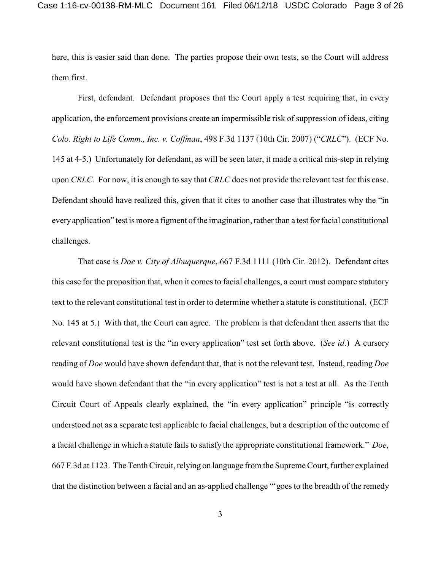here, this is easier said than done. The parties propose their own tests, so the Court will address them first.

First, defendant. Defendant proposes that the Court apply a test requiring that, in every application, the enforcement provisions create an impermissible risk of suppression of ideas, citing *Colo. Right to Life Comm., Inc. v. Coffman*, 498 F.3d 1137 (10th Cir. 2007) ("*CRLC*"). (ECF No. 145 at 4-5.) Unfortunately for defendant, as will be seen later, it made a critical mis-step in relying upon *CRLC*. For now, it is enough to say that *CRLC* does not provide the relevant test for this case. Defendant should have realized this, given that it cites to another case that illustrates why the "in everyapplication" test is more a figment of the imagination, rather than a test forfacial constitutional challenges.

That case is *Doe v. City of Albuquerque*, 667 F.3d 1111 (10th Cir. 2012). Defendant cites this case for the proposition that, when it comes to facial challenges, a court must compare statutory text to the relevant constitutional test in order to determine whether a statute is constitutional. (ECF No. 145 at 5.) With that, the Court can agree. The problem is that defendant then asserts that the relevant constitutional test is the "in every application" test set forth above. (*See id*.) A cursory reading of *Doe* would have shown defendant that, that is not the relevant test. Instead, reading *Doe* would have shown defendant that the "in every application" test is not a test at all. As the Tenth Circuit Court of Appeals clearly explained, the "in every application" principle "is correctly understood not as a separate test applicable to facial challenges, but a description of the outcome of a facial challenge in which a statute fails to satisfy the appropriate constitutional framework." *Doe*, 667 F.3d at 1123. The Tenth Circuit, relying on language from the Supreme Court, further explained that the distinction between a facial and an as-applied challenge "'goes to the breadth of the remedy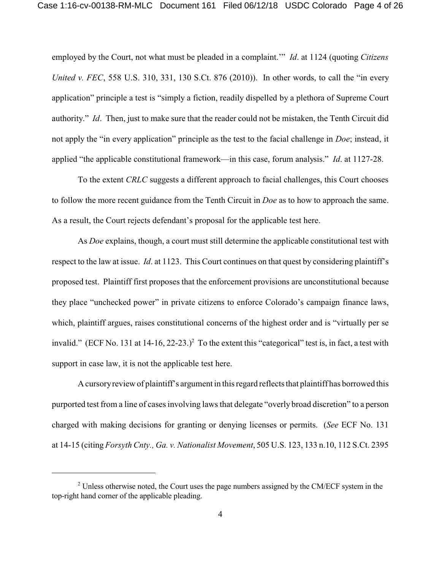employed by the Court, not what must be pleaded in a complaint.'" *Id*. at 1124 (quoting *Citizens United v. FEC*, 558 U.S. 310, 331, 130 S.Ct. 876 (2010)). In other words, to call the "in every application" principle a test is "simply a fiction, readily dispelled by a plethora of Supreme Court authority." *Id*. Then, just to make sure that the reader could not be mistaken, the Tenth Circuit did not apply the "in every application" principle as the test to the facial challenge in *Doe*; instead, it applied "the applicable constitutional framework—in this case, forum analysis." *Id*. at 1127-28.

To the extent *CRLC* suggests a different approach to facial challenges, this Court chooses to follow the more recent guidance from the Tenth Circuit in *Doe* as to how to approach the same. As a result, the Court rejects defendant's proposal for the applicable test here.

As *Doe* explains, though, a court must still determine the applicable constitutional test with respect to the law at issue. *Id*. at 1123. This Court continues on that quest by considering plaintiff's proposed test. Plaintiff first proposes that the enforcement provisions are unconstitutional because they place "unchecked power" in private citizens to enforce Colorado's campaign finance laws, which, plaintiff argues, raises constitutional concerns of the highest order and is "virtually per se invalid." (ECF No. 131 at  $14-16$ ,  $22-23$ .)<sup>2</sup> To the extent this "categorical" test is, in fact, a test with support in case law, it is not the applicable test here.

Acursoryreview of plaintiff's argument in this regard reflects that plaintiff has borrowed this purported test from a line of cases involving laws that delegate "overly broad discretion" to a person charged with making decisions for granting or denying licenses or permits. (*See* ECF No. 131 at 14-15 (citing *Forsyth Cnty., Ga. v. Nationalist Movement*, 505 U.S. 123, 133 n.10, 112 S.Ct. 2395

 $2^2$  Unless otherwise noted, the Court uses the page numbers assigned by the CM/ECF system in the top-right hand corner of the applicable pleading.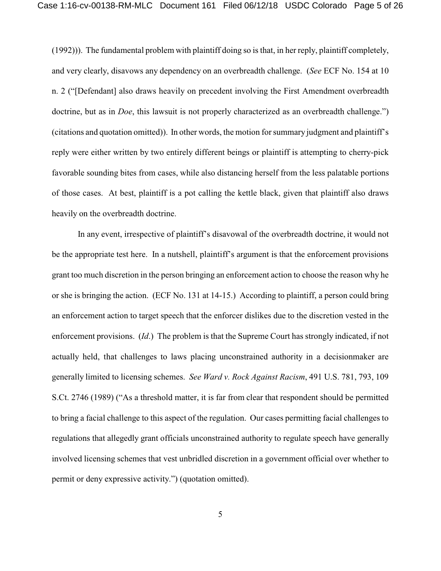(1992))). The fundamental problem with plaintiff doing so is that, in her reply, plaintiff completely, and very clearly, disavows any dependency on an overbreadth challenge. (*See* ECF No. 154 at 10 n. 2 ("[Defendant] also draws heavily on precedent involving the First Amendment overbreadth doctrine, but as in *Doe*, this lawsuit is not properly characterized as an overbreadth challenge.") (citations and quotation omitted)). In other words, the motion for summary judgment and plaintiff's reply were either written by two entirely different beings or plaintiff is attempting to cherry-pick favorable sounding bites from cases, while also distancing herself from the less palatable portions of those cases. At best, plaintiff is a pot calling the kettle black, given that plaintiff also draws heavily on the overbreadth doctrine.

In any event, irrespective of plaintiff's disavowal of the overbreadth doctrine, it would not be the appropriate test here. In a nutshell, plaintiff's argument is that the enforcement provisions grant too much discretion in the person bringing an enforcement action to choose the reason why he or she is bringing the action. (ECF No. 131 at 14-15.) According to plaintiff, a person could bring an enforcement action to target speech that the enforcer dislikes due to the discretion vested in the enforcement provisions. (*Id*.) The problem is that the Supreme Court has strongly indicated, if not actually held, that challenges to laws placing unconstrained authority in a decisionmaker are generally limited to licensing schemes. *See Ward v. Rock Against Racism*, 491 U.S. 781, 793, 109 S.Ct. 2746 (1989) ("As a threshold matter, it is far from clear that respondent should be permitted to bring a facial challenge to this aspect of the regulation. Our cases permitting facial challenges to regulations that allegedly grant officials unconstrained authority to regulate speech have generally involved licensing schemes that vest unbridled discretion in a government official over whether to permit or deny expressive activity.") (quotation omitted).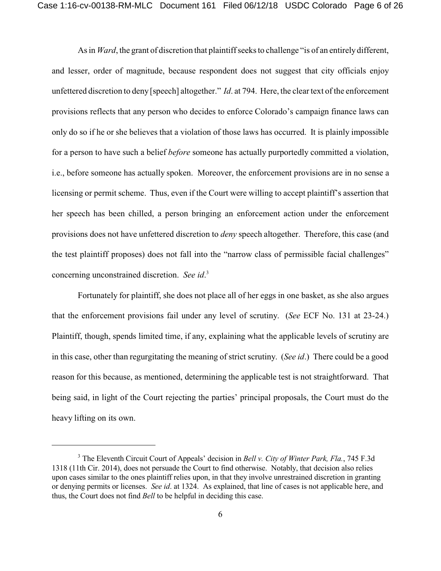As in *Ward*, the grant of discretion that plaintiff seeks to challenge "is of an entirely different, and lesser, order of magnitude, because respondent does not suggest that city officials enjoy unfettered discretion to deny [speech] altogether." *Id*. at 794. Here, the clear text of the enforcement provisions reflects that any person who decides to enforce Colorado's campaign finance laws can only do so if he or she believes that a violation of those laws has occurred. It is plainly impossible for a person to have such a belief *before* someone has actually purportedly committed a violation, i.e., before someone has actually spoken. Moreover, the enforcement provisions are in no sense a licensing or permit scheme. Thus, even if the Court were willing to accept plaintiff's assertion that her speech has been chilled, a person bringing an enforcement action under the enforcement provisions does not have unfettered discretion to *deny* speech altogether. Therefore, this case (and the test plaintiff proposes) does not fall into the "narrow class of permissible facial challenges" concerning unconstrained discretion. *See id*. 3

Fortunately for plaintiff, she does not place all of her eggs in one basket, as she also argues that the enforcement provisions fail under any level of scrutiny. (*See* ECF No. 131 at 23-24.) Plaintiff, though, spends limited time, if any, explaining what the applicable levels of scrutiny are in this case, other than regurgitating the meaning of strict scrutiny. (*See id*.) There could be a good reason for this because, as mentioned, determining the applicable test is not straightforward. That being said, in light of the Court rejecting the parties' principal proposals, the Court must do the heavy lifting on its own.

<sup>3</sup> The Eleventh Circuit Court of Appeals' decision in *Bell v. City of Winter Park, Fla.*, 745 F.3d 1318 (11th Cir. 2014), does not persuade the Court to find otherwise. Notably, that decision also relies upon cases similar to the ones plaintiff relies upon, in that they involve unrestrained discretion in granting or denying permits or licenses. *See id*. at 1324. As explained, that line of cases is not applicable here, and thus, the Court does not find *Bell* to be helpful in deciding this case.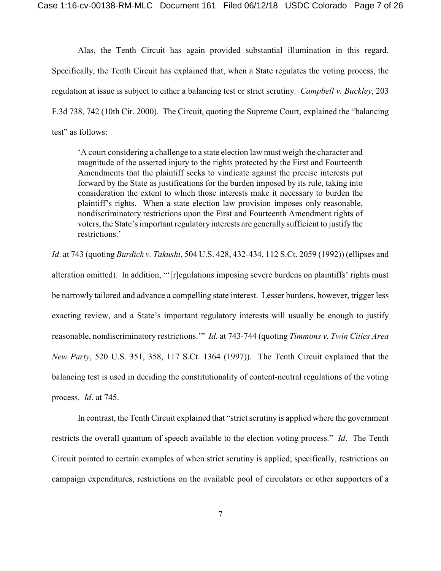Alas, the Tenth Circuit has again provided substantial illumination in this regard. Specifically, the Tenth Circuit has explained that, when a State regulates the voting process, the regulation at issue is subject to either a balancing test or strict scrutiny. *Campbell v. Buckley*, 203 F.3d 738, 742 (10th Cir. 2000). The Circuit, quoting the Supreme Court, explained the "balancing test" as follows:

'A court considering a challenge to a state election law must weigh the character and magnitude of the asserted injury to the rights protected by the First and Fourteenth Amendments that the plaintiff seeks to vindicate against the precise interests put forward by the State as justifications for the burden imposed by its rule, taking into consideration the extent to which those interests make it necessary to burden the plaintiff's rights. When a state election law provision imposes only reasonable, nondiscriminatory restrictions upon the First and Fourteenth Amendment rights of voters, the State's important regulatory interests are generally sufficient to justify the restrictions.'

*Id*. at 743 (quoting *Burdick v. Takushi*, 504 U.S. 428, 432-434, 112 S.Ct. 2059 (1992)) (ellipses and alteration omitted). In addition, "'[r]egulations imposing severe burdens on plaintiffs' rights must be narrowly tailored and advance a compelling state interest. Lesser burdens, however, trigger less exacting review, and a State's important regulatory interests will usually be enough to justify reasonable, nondiscriminatory restrictions.'" *Id*. at 743-744 (quoting *Timmons v. Twin Cities Area New Party*, 520 U.S. 351, 358, 117 S.Ct. 1364 (1997)). The Tenth Circuit explained that the balancing test is used in deciding the constitutionality of content-neutral regulations of the voting process. *Id*. at 745.

In contrast, the Tenth Circuit explained that "strict scrutiny is applied where the government restricts the overall quantum of speech available to the election voting process." *Id*. The Tenth Circuit pointed to certain examples of when strict scrutiny is applied; specifically, restrictions on campaign expenditures, restrictions on the available pool of circulators or other supporters of a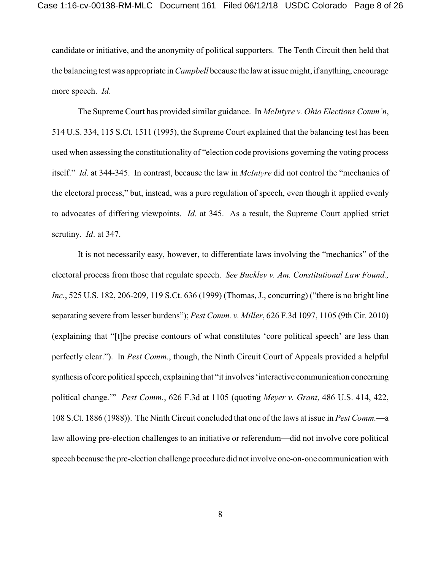candidate or initiative, and the anonymity of political supporters. The Tenth Circuit then held that the balancing test was appropriate in *Campbell* because the law at issue might, if anything, encourage more speech. *Id*.

The Supreme Court has provided similar guidance. In *McIntyre v. Ohio Elections Comm'n*, 514 U.S. 334, 115 S.Ct. 1511 (1995), the Supreme Court explained that the balancing test has been used when assessing the constitutionality of "election code provisions governing the voting process itself." *Id*. at 344-345. In contrast, because the law in *McIntyre* did not control the "mechanics of the electoral process," but, instead, was a pure regulation of speech, even though it applied evenly to advocates of differing viewpoints. *Id*. at 345. As a result, the Supreme Court applied strict scrutiny. *Id*. at 347.

It is not necessarily easy, however, to differentiate laws involving the "mechanics" of the electoral process from those that regulate speech. *See Buckley v. Am. Constitutional Law Found., Inc.*, 525 U.S. 182, 206-209, 119 S.Ct. 636 (1999) (Thomas, J., concurring) ("there is no bright line separating severe from lesser burdens"); *Pest Comm. v. Miller*, 626 F.3d 1097, 1105 (9th Cir. 2010) (explaining that "[t]he precise contours of what constitutes 'core political speech' are less than perfectly clear."). In *Pest Comm.*, though, the Ninth Circuit Court of Appeals provided a helpful synthesis of core political speech, explaining that "it involves 'interactive communication concerning political change.'" *Pest Comm.*, 626 F.3d at 1105 (quoting *Meyer v. Grant*, 486 U.S. 414, 422, 108 S.Ct. 1886 (1988)). The Ninth Circuit concluded that one of the laws at issue in *Pest Comm.*—a law allowing pre-election challenges to an initiative or referendum—did not involve core political speech because the pre-election challenge procedure did not involve one-on-one communication with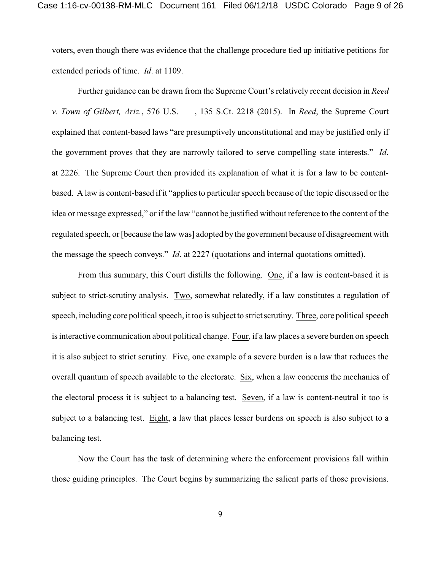voters, even though there was evidence that the challenge procedure tied up initiative petitions for extended periods of time. *Id*. at 1109.

Further guidance can be drawn from the Supreme Court's relatively recent decision in *Reed v. Town of Gilbert, Ariz.*, 576 U.S. \_\_\_, 135 S.Ct. 2218 (2015). In *Reed*, the Supreme Court explained that content-based laws "are presumptively unconstitutional and may be justified only if the government proves that they are narrowly tailored to serve compelling state interests." *Id*. at 2226. The Supreme Court then provided its explanation of what it is for a law to be contentbased. A law is content-based if it "applies to particular speech because of the topic discussed or the idea or message expressed," or if the law "cannot be justified without reference to the content of the regulated speech, or [because the law was] adopted by the government because of disagreement with the message the speech conveys." *Id*. at 2227 (quotations and internal quotations omitted).

From this summary, this Court distills the following. One, if a law is content-based it is subject to strict-scrutiny analysis. Two, somewhat relatedly, if a law constitutes a regulation of speech, including core political speech, it too is subject to strict scrutiny. Three, core political speech is interactive communication about political change. Four, if a law places a severe burden on speech it is also subject to strict scrutiny. Five, one example of a severe burden is a law that reduces the overall quantum of speech available to the electorate. Six, when a law concerns the mechanics of the electoral process it is subject to a balancing test. Seven, if a law is content-neutral it too is subject to a balancing test. Eight, a law that places lesser burdens on speech is also subject to a balancing test.

Now the Court has the task of determining where the enforcement provisions fall within those guiding principles. The Court begins by summarizing the salient parts of those provisions.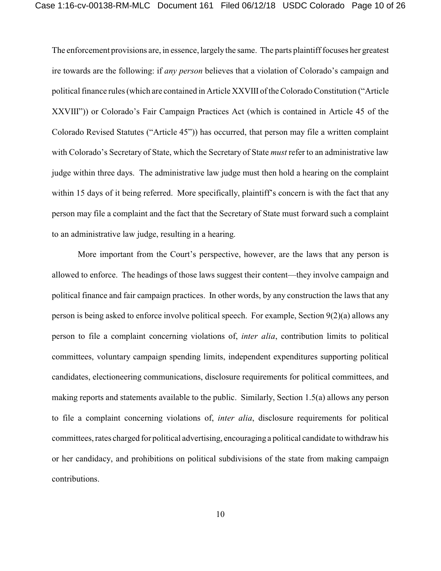The enforcement provisions are, in essence, largely the same. The parts plaintiff focuses her greatest ire towards are the following: if *any person* believes that a violation of Colorado's campaign and political finance rules (which are contained in Article XXVIII of the Colorado Constitution ("Article") XXVIII")) or Colorado's Fair Campaign Practices Act (which is contained in Article 45 of the Colorado Revised Statutes ("Article 45")) has occurred, that person may file a written complaint with Colorado's Secretary of State, which the Secretary of State *must* refer to an administrative law judge within three days. The administrative law judge must then hold a hearing on the complaint within 15 days of it being referred. More specifically, plaintiff's concern is with the fact that any person may file a complaint and the fact that the Secretary of State must forward such a complaint to an administrative law judge, resulting in a hearing.

More important from the Court's perspective, however, are the laws that any person is allowed to enforce. The headings of those laws suggest their content—they involve campaign and political finance and fair campaign practices. In other words, by any construction the laws that any person is being asked to enforce involve political speech. For example, Section 9(2)(a) allows any person to file a complaint concerning violations of, *inter alia*, contribution limits to political committees, voluntary campaign spending limits, independent expenditures supporting political candidates, electioneering communications, disclosure requirements for political committees, and making reports and statements available to the public. Similarly, Section 1.5(a) allows any person to file a complaint concerning violations of, *inter alia*, disclosure requirements for political committees, rates charged for political advertising, encouraging a political candidate to withdraw his or her candidacy, and prohibitions on political subdivisions of the state from making campaign contributions.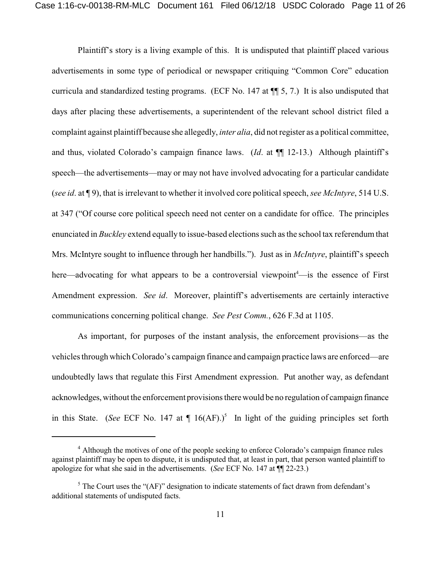Plaintiff's story is a living example of this. It is undisputed that plaintiff placed various advertisements in some type of periodical or newspaper critiquing "Common Core" education curricula and standardized testing programs. (ECF No. 147 at ¶¶ 5, 7.) It is also undisputed that days after placing these advertisements, a superintendent of the relevant school district filed a complaint against plaintiff because she allegedly, *inter alia*, did not register as a political committee, and thus, violated Colorado's campaign finance laws. (*Id*. at ¶¶ 12-13.) Although plaintiff's speech—the advertisements—may or may not have involved advocating for a particular candidate (*see id*. at ¶ 9), that is irrelevant to whether it involved core political speech, *see McIntyre*, 514 U.S. at 347 ("Of course core political speech need not center on a candidate for office. The principles enunciated in *Buckley* extend equally to issue-based elections such as the school tax referendum that Mrs. McIntyre sought to influence through her handbills."). Just as in *McIntyre*, plaintiff's speech here—advocating for what appears to be a controversial viewpoint<sup>4</sup>—is the essence of First Amendment expression. *See id*. Moreover, plaintiff's advertisements are certainly interactive communications concerning political change. *See Pest Comm.*, 626 F.3d at 1105.

As important, for purposes of the instant analysis, the enforcement provisions—as the vehicles through which Colorado's campaign finance and campaign practice laws are enforced—are undoubtedly laws that regulate this First Amendment expression. Put another way, as defendant acknowledges, without the enforcement provisions there would be no regulation of campaign finance in this State. (*See* ECF No. 147 at  $\P$  16(AF).)<sup>5</sup> In light of the guiding principles set forth

<sup>&</sup>lt;sup>4</sup> Although the motives of one of the people seeking to enforce Colorado's campaign finance rules against plaintiff may be open to dispute, it is undisputed that, at least in part, that person wanted plaintiff to apologize for what she said in the advertisements. (*See* ECF No. 147 at ¶¶ 22-23.)

 $<sup>5</sup>$  The Court uses the "(AF)" designation to indicate statements of fact drawn from defendant's</sup> additional statements of undisputed facts.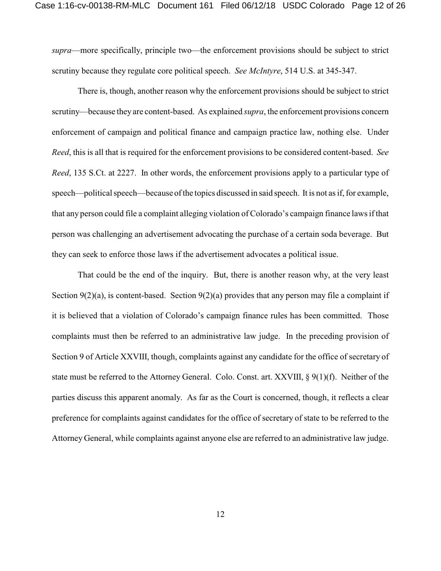*supra*—more specifically, principle two—the enforcement provisions should be subject to strict scrutiny because they regulate core political speech. *See McIntyre*, 514 U.S. at 345-347.

There is, though, another reason why the enforcement provisions should be subject to strict scrutiny—because they are content-based. As explained *supra*, the enforcement provisions concern enforcement of campaign and political finance and campaign practice law, nothing else. Under *Reed*, this is all that is required for the enforcement provisions to be considered content-based. *See Reed*, 135 S.Ct. at 2227. In other words, the enforcement provisions apply to a particular type of speech—political speech—because of the topics discussed in said speech. It is not as if, for example, that any person could file a complaint alleging violation of Colorado's campaign finance laws if that person was challenging an advertisement advocating the purchase of a certain soda beverage. But they can seek to enforce those laws if the advertisement advocates a political issue.

That could be the end of the inquiry. But, there is another reason why, at the very least Section 9(2)(a), is content-based. Section 9(2)(a) provides that any person may file a complaint if it is believed that a violation of Colorado's campaign finance rules has been committed. Those complaints must then be referred to an administrative law judge. In the preceding provision of Section 9 of Article XXVIII, though, complaints against any candidate for the office of secretary of state must be referred to the Attorney General. Colo. Const. art. XXVIII, § 9(1)(f). Neither of the parties discuss this apparent anomaly. As far as the Court is concerned, though, it reflects a clear preference for complaints against candidates for the office of secretary of state to be referred to the Attorney General, while complaints against anyone else are referred to an administrative law judge.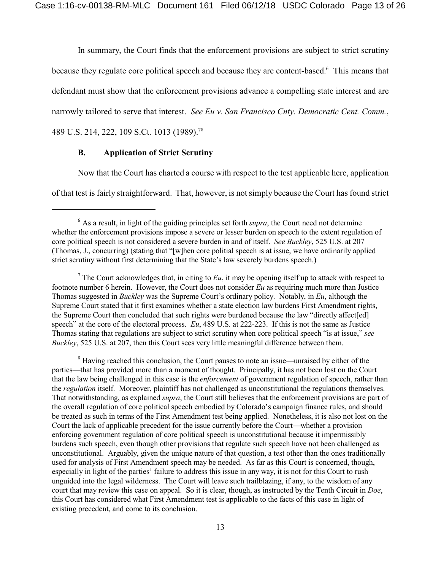In summary, the Court finds that the enforcement provisions are subject to strict scrutiny

because they regulate core political speech and because they are content-based.<sup>6</sup> This means that

defendant must show that the enforcement provisions advance a compelling state interest and are

narrowly tailored to serve that interest. *See Eu v. San Francisco Cnty. Democratic Cent. Comm.*,

489 U.S. 214, 222, 109 S.Ct. 1013 (1989).<sup>78</sup>

# **B. Application of Strict Scrutiny**

Now that the Court has charted a course with respect to the test applicable here, application

of that test is fairly straightforward. That, however, is notsimply because the Court has found strict

<sup>8</sup> Having reached this conclusion, the Court pauses to note an issue—unraised by either of the parties—that has provided more than a moment of thought. Principally, it has not been lost on the Court that the law being challenged in this case is the *enforcement* of government regulation of speech, rather than the *regulation* itself. Moreover, plaintiff has not challenged as unconstitutional the regulations themselves. That notwithstanding, as explained *supra*, the Court still believes that the enforcement provisions are part of the overall regulation of core political speech embodied by Colorado's campaign finance rules, and should be treated as such in terms of the First Amendment test being applied. Nonetheless, it is also not lost on the Court the lack of applicable precedent for the issue currently before the Court—whether a provision enforcing government regulation of core political speech is unconstitutional because it impermissibly burdens such speech, even though other provisions that regulate such speech have not been challenged as unconstitutional. Arguably, given the unique nature of that question, a test other than the ones traditionally used for analysis of First Amendment speech may be needed. As far as this Court is concerned, though, especially in light of the parties' failure to address this issue in any way, it is not for this Court to rush unguided into the legal wilderness. The Court will leave such trailblazing, if any, to the wisdom of any court that may review this case on appeal. So it is clear, though, as instructed by the Tenth Circuit in *Doe*, this Court has considered what First Amendment test is applicable to the facts of this case in light of existing precedent, and come to its conclusion.

<sup>&</sup>lt;sup>6</sup> As a result, in light of the guiding principles set forth *supra*, the Court need not determine whether the enforcement provisions impose a severe or lesser burden on speech to the extent regulation of core political speech is not considered a severe burden in and of itself. *See Buckley*, 525 U.S. at 207 (Thomas, J., concurring) (stating that "[w]hen core politial speech is at issue, we have ordinarily applied strict scrutiny without first determining that the State's law severely burdens speech.)

<sup>&</sup>lt;sup>7</sup> The Court acknowledges that, in citing to  $Eu$ , it may be opening itself up to attack with respect to footnote number 6 herein. However, the Court does not consider *Eu* as requiring much more than Justice Thomas suggested in *Buckley* was the Supreme Court's ordinary policy. Notably, in *Eu*, although the Supreme Court stated that it first examines whether a state election law burdens First Amendment rights, the Supreme Court then concluded that such rights were burdened because the law "directly affect[ed] speech" at the core of the electoral process. *Eu*, 489 U.S. at 222-223. If this is not the same as Justice Thomas stating that regulations are subject to strict scrutiny when core political speech "is at issue," *see Buckley*, 525 U.S. at 207, then this Court sees very little meaningful difference between them.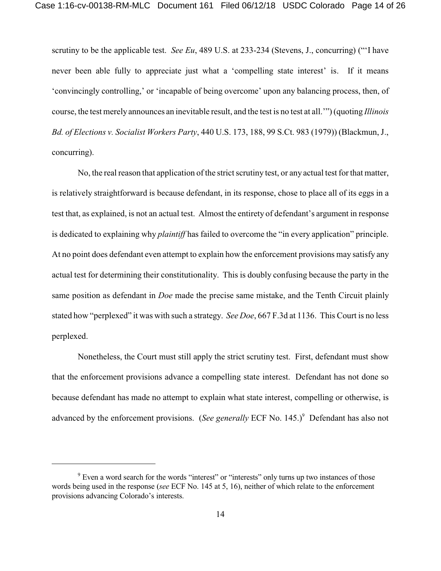scrutiny to be the applicable test. *See Eu*, 489 U.S. at 233-234 (Stevens, J., concurring) ("'I have never been able fully to appreciate just what a 'compelling state interest' is. If it means 'convincingly controlling,' or 'incapable of being overcome' upon any balancing process, then, of course, the test merelyannounces an inevitable result, and the test is no test at all.'") (quoting *Illinois Bd. of Elections v. Socialist Workers Party*, 440 U.S. 173, 188, 99 S.Ct. 983 (1979)) (Blackmun, J., concurring).

No, the real reason that application of the strict scrutiny test, or any actual test for that matter, is relatively straightforward is because defendant, in its response, chose to place all of its eggs in a test that, as explained, is not an actual test. Almost the entirety of defendant's argument in response is dedicated to explaining why *plaintiff* has failed to overcome the "in every application" principle. At no point does defendant even attempt to explain how the enforcement provisions may satisfy any actual test for determining their constitutionality. This is doubly confusing because the party in the same position as defendant in *Doe* made the precise same mistake, and the Tenth Circuit plainly stated how "perplexed" it was with such a strategy. *See Doe*, 667 F.3d at 1136. This Court is no less perplexed.

Nonetheless, the Court must still apply the strict scrutiny test. First, defendant must show that the enforcement provisions advance a compelling state interest. Defendant has not done so because defendant has made no attempt to explain what state interest, compelling or otherwise, is advanced by the enforcement provisions. (*See generally* ECF No. 145.)<sup>9</sup> Defendant has also not

<sup>&</sup>lt;sup>9</sup> Even a word search for the words "interest" or "interests" only turns up two instances of those words being used in the response (*see* ECF No. 145 at 5, 16), neither of which relate to the enforcement provisions advancing Colorado's interests.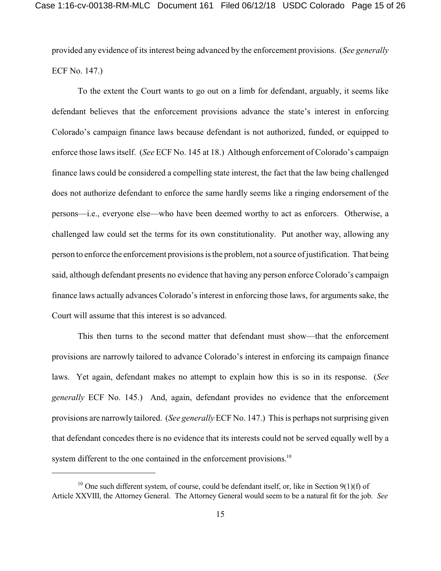provided any evidence of its interest being advanced by the enforcement provisions. (*See generally* ECF No. 147.)

To the extent the Court wants to go out on a limb for defendant, arguably, it seems like defendant believes that the enforcement provisions advance the state's interest in enforcing Colorado's campaign finance laws because defendant is not authorized, funded, or equipped to enforce those laws itself. (*See* ECF No. 145 at 18.) Although enforcement of Colorado's campaign finance laws could be considered a compelling state interest, the fact that the law being challenged does not authorize defendant to enforce the same hardly seems like a ringing endorsement of the persons—i.e., everyone else—who have been deemed worthy to act as enforcers. Otherwise, a challenged law could set the terms for its own constitutionality. Put another way, allowing any person to enforce the enforcement provisions isthe problem, not a source of justification. That being said, although defendant presents no evidence that having any person enforce Colorado's campaign finance laws actually advances Colorado's interest in enforcing those laws, for arguments sake, the Court will assume that this interest is so advanced.

This then turns to the second matter that defendant must show—that the enforcement provisions are narrowly tailored to advance Colorado's interest in enforcing its campaign finance laws. Yet again, defendant makes no attempt to explain how this is so in its response. (*See generally* ECF No. 145.) And, again, defendant provides no evidence that the enforcement provisions are narrowly tailored. (*See generally* ECF No. 147.) This is perhaps not surprising given that defendant concedes there is no evidence that its interests could not be served equally well by a system different to the one contained in the enforcement provisions.<sup>10</sup>

 $10$  One such different system, of course, could be defendant itself, or, like in Section 9(1)(f) of Article XXVIII, the Attorney General. The Attorney General would seem to be a natural fit for the job. *See*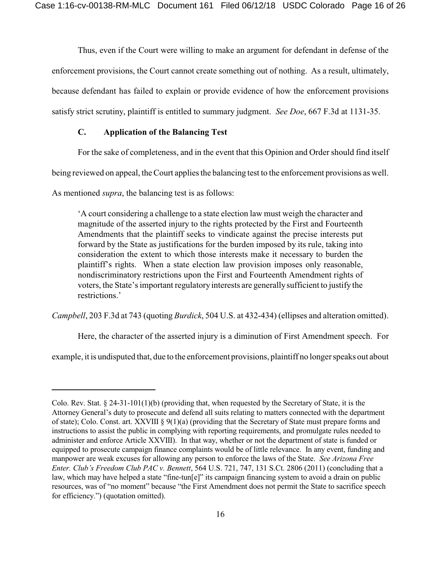Thus, even if the Court were willing to make an argument for defendant in defense of the enforcement provisions, the Court cannot create something out of nothing. As a result, ultimately, because defendant has failed to explain or provide evidence of how the enforcement provisions satisfy strict scrutiny, plaintiff is entitled to summary judgment. *See Doe*, 667 F.3d at 1131-35.

# **C. Application of the Balancing Test**

For the sake of completeness, and in the event that this Opinion and Order should find itself

being reviewed on appeal, the Court applies the balancing test to the enforcement provisions as well.

As mentioned *supra*, the balancing test is as follows:

'A court considering a challenge to a state election law must weigh the character and magnitude of the asserted injury to the rights protected by the First and Fourteenth Amendments that the plaintiff seeks to vindicate against the precise interests put forward by the State as justifications for the burden imposed by its rule, taking into consideration the extent to which those interests make it necessary to burden the plaintiff's rights. When a state election law provision imposes only reasonable, nondiscriminatory restrictions upon the First and Fourteenth Amendment rights of voters, the State's important regulatory interests are generallysufficient to justify the restrictions.'

*Campbell*, 203 F.3d at 743 (quoting *Burdick*, 504 U.S. at 432-434) (ellipses and alteration omitted).

Here, the character of the asserted injury is a diminution of First Amendment speech. For

example, it is undisputed that, due to the enforcement provisions, plaintiff no longer speaks out about

Colo. Rev. Stat.  $\S$  24-31-101(1)(b) (providing that, when requested by the Secretary of State, it is the Attorney General's duty to prosecute and defend all suits relating to matters connected with the department of state); Colo. Const. art. XXVIII §  $9(1)(a)$  (providing that the Secretary of State must prepare forms and instructions to assist the public in complying with reporting requirements, and promulgate rules needed to administer and enforce Article XXVIII). In that way, whether or not the department of state is funded or equipped to prosecute campaign finance complaints would be of little relevance. In any event, funding and manpower are weak excuses for allowing any person to enforce the laws of the State. *See Arizona Free Enter. Club's Freedom Club PAC v. Bennett*, 564 U.S. 721, 747, 131 S.Ct. 2806 (2011) (concluding that a law, which may have helped a state "fine-tun[e]" its campaign financing system to avoid a drain on public resources, was of "no moment" because "the First Amendment does not permit the State to sacrifice speech for efficiency.") (quotation omitted).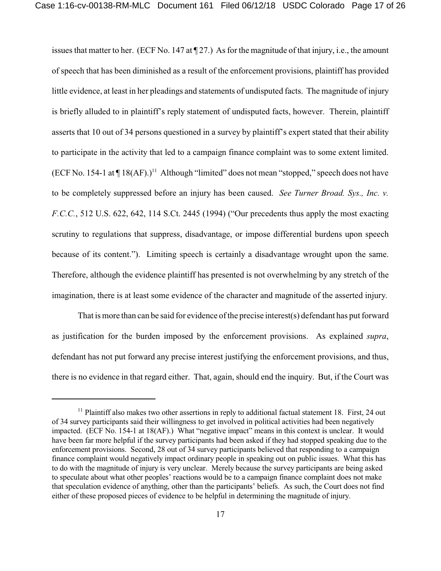issues that matter to her. (ECF No. 147 at  $\P$  27.) As for the magnitude of that injury, i.e., the amount of speech that has been diminished as a result of the enforcement provisions, plaintiff has provided little evidence, at least in her pleadings and statements of undisputed facts. The magnitude of injury is briefly alluded to in plaintiff's reply statement of undisputed facts, however. Therein, plaintiff asserts that 10 out of 34 persons questioned in a survey by plaintiff's expert stated that their ability to participate in the activity that led to a campaign finance complaint was to some extent limited. (ECF No. 154-1 at  $\P$  18(AF).)<sup>11</sup> Although "limited" does not mean "stopped," speech does not have to be completely suppressed before an injury has been caused. *See Turner Broad. Sys., Inc. v. F.C.C.*, 512 U.S. 622, 642, 114 S.Ct. 2445 (1994) ("Our precedents thus apply the most exacting scrutiny to regulations that suppress, disadvantage, or impose differential burdens upon speech because of its content."). Limiting speech is certainly a disadvantage wrought upon the same. Therefore, although the evidence plaintiff has presented is not overwhelming by any stretch of the imagination, there is at least some evidence of the character and magnitude of the asserted injury.

That is more than can be said for evidence of the precise interest(s) defendant has put forward as justification for the burden imposed by the enforcement provisions. As explained *supra*, defendant has not put forward any precise interest justifying the enforcement provisions, and thus, there is no evidence in that regard either. That, again, should end the inquiry. But, if the Court was

 $11$  Plaintiff also makes two other assertions in reply to additional factual statement 18. First, 24 out of 34 survey participants said their willingness to get involved in political activities had been negatively impacted. (ECF No. 154-1 at 18(AF).) What "negative impact" means in this context is unclear. It would have been far more helpful if the survey participants had been asked if they had stopped speaking due to the enforcement provisions. Second, 28 out of 34 survey participants believed that responding to a campaign finance complaint would negatively impact ordinary people in speaking out on public issues. What this has to do with the magnitude of injury is very unclear. Merely because the survey participants are being asked to speculate about what other peoples' reactions would be to a campaign finance complaint does not make that speculation evidence of anything, other than the participants' beliefs. As such, the Court does not find either of these proposed pieces of evidence to be helpful in determining the magnitude of injury.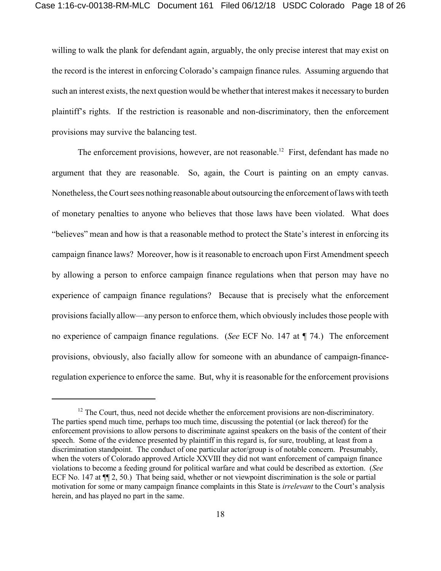willing to walk the plank for defendant again, arguably, the only precise interest that may exist on the record is the interest in enforcing Colorado's campaign finance rules. Assuming arguendo that such an interest exists, the next question would be whether that interest makesit necessary to burden plaintiff's rights. If the restriction is reasonable and non-discriminatory, then the enforcement provisions may survive the balancing test.

The enforcement provisions, however, are not reasonable.<sup>12</sup> First, defendant has made no argument that they are reasonable. So, again, the Court is painting on an empty canvas. Nonetheless, the Court sees nothing reasonable about outsourcing the enforcement of laws with teeth of monetary penalties to anyone who believes that those laws have been violated. What does "believes" mean and how is that a reasonable method to protect the State's interest in enforcing its campaign finance laws? Moreover, how is it reasonable to encroach upon First Amendment speech by allowing a person to enforce campaign finance regulations when that person may have no experience of campaign finance regulations? Because that is precisely what the enforcement provisions facially allow—any person to enforce them, which obviously includes those people with no experience of campaign finance regulations. (*See* ECF No. 147 at ¶ 74.) The enforcement provisions, obviously, also facially allow for someone with an abundance of campaign-financeregulation experience to enforce the same. But, why it is reasonable for the enforcement provisions

 $12$  The Court, thus, need not decide whether the enforcement provisions are non-discriminatory. The parties spend much time, perhaps too much time, discussing the potential (or lack thereof) for the enforcement provisions to allow persons to discriminate against speakers on the basis of the content of their speech. Some of the evidence presented by plaintiff in this regard is, for sure, troubling, at least from a discrimination standpoint. The conduct of one particular actor/group is of notable concern. Presumably, when the voters of Colorado approved Article XXVIII they did not want enforcement of campaign finance violations to become a feeding ground for political warfare and what could be described as extortion. (*See* ECF No. 147 at ¶¶ 2, 50.) That being said, whether or not viewpoint discrimination is the sole or partial motivation for some or many campaign finance complaints in this State is *irrelevant* to the Court's analysis herein, and has played no part in the same.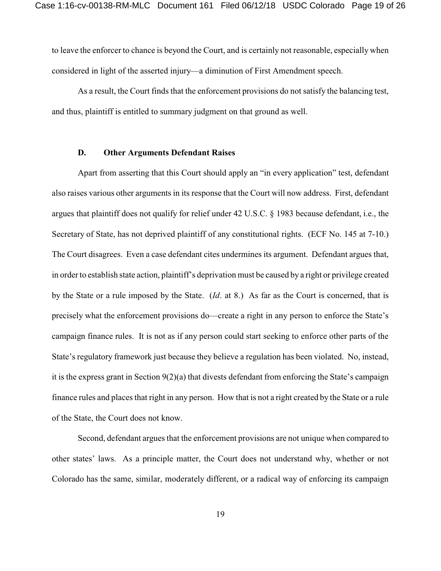to leave the enforcer to chance is beyond the Court, and is certainly not reasonable, especially when considered in light of the asserted injury—a diminution of First Amendment speech.

As a result, the Court finds that the enforcement provisions do not satisfy the balancing test, and thus, plaintiff is entitled to summary judgment on that ground as well.

#### **D. Other Arguments Defendant Raises**

Apart from asserting that this Court should apply an "in every application" test, defendant also raises various other arguments in its response that the Court will now address. First, defendant argues that plaintiff does not qualify for relief under 42 U.S.C. § 1983 because defendant, i.e., the Secretary of State, has not deprived plaintiff of any constitutional rights. (ECF No. 145 at 7-10.) The Court disagrees. Even a case defendant cites undermines its argument. Defendant argues that, in order to establish state action, plaintiff's deprivation must be caused by a right or privilege created by the State or a rule imposed by the State. (*Id*. at 8.) As far as the Court is concerned, that is precisely what the enforcement provisions do—create a right in any person to enforce the State's campaign finance rules. It is not as if any person could start seeking to enforce other parts of the State's regulatory framework just because they believe a regulation has been violated. No, instead, it is the express grant in Section 9(2)(a) that divests defendant from enforcing the State's campaign finance rules and places that right in any person. How that is not a right created by the State or a rule of the State, the Court does not know.

Second, defendant argues that the enforcement provisions are not unique when compared to other states' laws. As a principle matter, the Court does not understand why, whether or not Colorado has the same, similar, moderately different, or a radical way of enforcing its campaign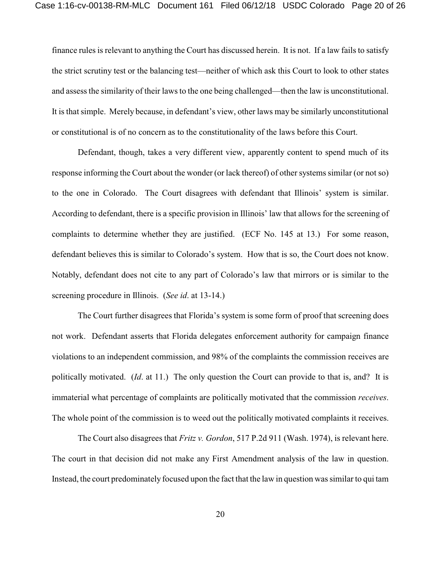finance rules is relevant to anything the Court has discussed herein. It is not. If a law fails to satisfy the strict scrutiny test or the balancing test—neither of which ask this Court to look to other states and assess the similarity of their lawsto the one being challenged—then the law is unconstitutional. It is thatsimple. Merely because, in defendant's view, other laws may be similarly unconstitutional or constitutional is of no concern as to the constitutionality of the laws before this Court.

Defendant, though, takes a very different view, apparently content to spend much of its response informing the Court about the wonder (or lack thereof) of other systems similar (or not so) to the one in Colorado. The Court disagrees with defendant that Illinois' system is similar. According to defendant, there is a specific provision in Illinois' law that allows for the screening of complaints to determine whether they are justified. (ECF No. 145 at 13.) For some reason, defendant believes this is similar to Colorado's system. How that is so, the Court does not know. Notably, defendant does not cite to any part of Colorado's law that mirrors or is similar to the screening procedure in Illinois. (*See id*. at 13-14.)

The Court further disagrees that Florida's system is some form of proof that screening does not work. Defendant asserts that Florida delegates enforcement authority for campaign finance violations to an independent commission, and 98% of the complaints the commission receives are politically motivated. (*Id*. at 11.) The only question the Court can provide to that is, and? It is immaterial what percentage of complaints are politically motivated that the commission *receives*. The whole point of the commission is to weed out the politically motivated complaints it receives.

The Court also disagrees that *Fritz v. Gordon*, 517 P.2d 911 (Wash. 1974), is relevant here. The court in that decision did not make any First Amendment analysis of the law in question. Instead, the court predominately focused upon the fact that the law in question was similar to qui tam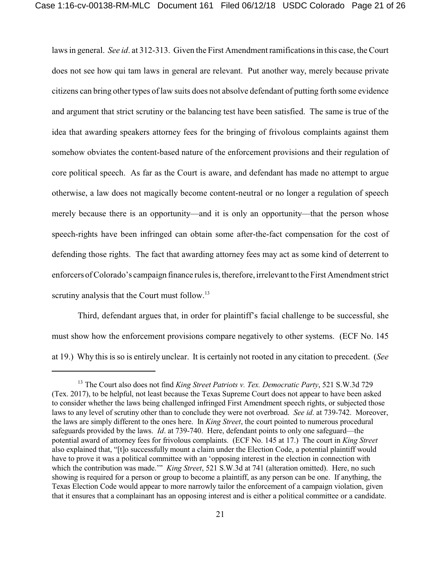lawsin general. *See id*. at 312-313. Given the First Amendment ramifications in this case, the Court does not see how qui tam laws in general are relevant. Put another way, merely because private citizens can bring other types of law suits does not absolve defendant of putting forth some evidence and argument that strict scrutiny or the balancing test have been satisfied. The same is true of the idea that awarding speakers attorney fees for the bringing of frivolous complaints against them somehow obviates the content-based nature of the enforcement provisions and their regulation of core political speech. As far as the Court is aware, and defendant has made no attempt to argue otherwise, a law does not magically become content-neutral or no longer a regulation of speech merely because there is an opportunity—and it is only an opportunity—that the person whose speech-rights have been infringed can obtain some after-the-fact compensation for the cost of defending those rights. The fact that awarding attorney fees may act as some kind of deterrent to enforcers of Colorado's campaign finance rules is, therefore, irrelevant to the First Amendment strict scrutiny analysis that the Court must follow.<sup>13</sup>

Third, defendant argues that, in order for plaintiff's facial challenge to be successful, she must show how the enforcement provisions compare negatively to other systems. (ECF No. 145 at 19.) Why this is so is entirely unclear. It is certainly not rooted in any citation to precedent. (*See*

<sup>&</sup>lt;sup>13</sup> The Court also does not find *King Street Patriots v. Tex. Democratic Party*, 521 S.W.3d 729 (Tex. 2017), to be helpful, not least because the Texas Supreme Court does not appear to have been asked to consider whether the laws being challenged infringed First Amendment speech rights, or subjected those laws to any level of scrutiny other than to conclude they were not overbroad. *See id*. at 739-742. Moreover, the laws are simply different to the ones here. In *King Street*, the court pointed to numerous procedural safeguards provided by the laws. *Id*. at 739-740. Here, defendant points to only one safeguard—the potential award of attorney fees for frivolous complaints. (ECF No. 145 at 17.) The court in *King Street* also explained that, "[t]o successfully mount a claim under the Election Code, a potential plaintiff would have to prove it was a political committee with an 'opposing interest in the election in connection with which the contribution was made.'" *King Street*, 521 S.W.3d at 741 (alteration omitted). Here, no such showing is required for a person or group to become a plaintiff, as any person can be one. If anything, the Texas Election Code would appear to more narrowly tailor the enforcement of a campaign violation, given that it ensures that a complainant has an opposing interest and is either a political committee or a candidate.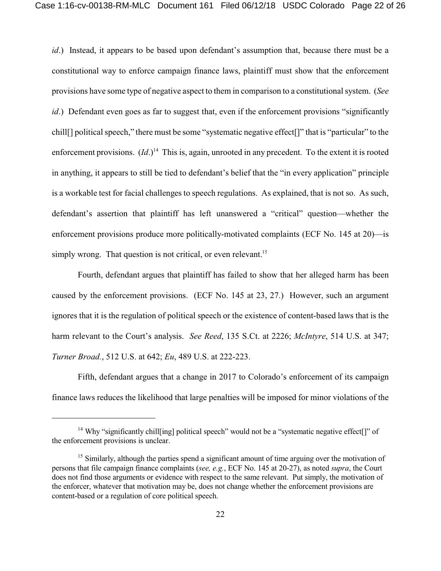*id*.) Instead, it appears to be based upon defendant's assumption that, because there must be a constitutional way to enforce campaign finance laws, plaintiff must show that the enforcement provisions have some type of negative aspect to them in comparison to a constitutional system. (*See id*.) Defendant even goes as far to suggest that, even if the enforcement provisions "significantly chill[] political speech," there must be some "systematic negative effect[]" that is "particular" to the enforcement provisions.  $(Id.)^{14}$  This is, again, unrooted in any precedent. To the extent it is rooted in anything, it appears to still be tied to defendant's belief that the "in every application" principle is a workable test for facial challenges to speech regulations. As explained, that is not so. As such, defendant's assertion that plaintiff has left unanswered a "critical" question—whether the enforcement provisions produce more politically-motivated complaints (ECF No. 145 at 20)—is simply wrong. That question is not critical, or even relevant.<sup>15</sup>

Fourth, defendant argues that plaintiff has failed to show that her alleged harm has been caused by the enforcement provisions. (ECF No. 145 at 23, 27.) However, such an argument ignores that it is the regulation of political speech or the existence of content-based laws that is the harm relevant to the Court's analysis. *See Reed*, 135 S.Ct. at 2226; *McIntyre*, 514 U.S. at 347; *Turner Broad.*, 512 U.S. at 642; *Eu*, 489 U.S. at 222-223.

Fifth, defendant argues that a change in 2017 to Colorado's enforcement of its campaign finance laws reduces the likelihood that large penalties will be imposed for minor violations of the

<sup>&</sup>lt;sup>14</sup> Why "significantly chill[ing] political speech" would not be a "systematic negative effect[]" of the enforcement provisions is unclear.

<sup>&</sup>lt;sup>15</sup> Similarly, although the parties spend a significant amount of time arguing over the motivation of persons that file campaign finance complaints (*see, e.g.*, ECF No. 145 at 20-27), as noted *supra*, the Court does not find those arguments or evidence with respect to the same relevant. Put simply, the motivation of the enforcer, whatever that motivation may be, does not change whether the enforcement provisions are content-based or a regulation of core political speech.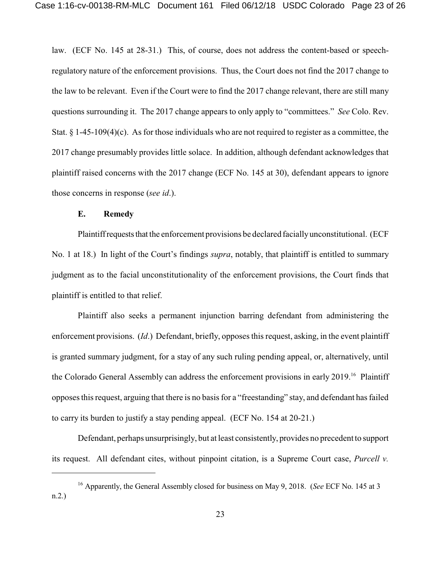law. (ECF No. 145 at 28-31.) This, of course, does not address the content-based or speechregulatory nature of the enforcement provisions. Thus, the Court does not find the 2017 change to the law to be relevant. Even if the Court were to find the 2017 change relevant, there are still many questions surrounding it. The 2017 change appears to only apply to "committees." *See* Colo. Rev. Stat.  $\S 1-45-109(4)$ (c). As for those individuals who are not required to register as a committee, the 2017 change presumably provides little solace. In addition, although defendant acknowledges that plaintiff raised concerns with the 2017 change (ECF No. 145 at 30), defendant appears to ignore those concerns in response (*see id*.).

### **E. Remedy**

Plaintiffrequests that the enforcement provisions be declared facially unconstitutional. (ECF No. 1 at 18.) In light of the Court's findings *supra*, notably, that plaintiff is entitled to summary judgment as to the facial unconstitutionality of the enforcement provisions, the Court finds that plaintiff is entitled to that relief.

Plaintiff also seeks a permanent injunction barring defendant from administering the enforcement provisions. (*Id*.) Defendant, briefly, opposes this request, asking, in the event plaintiff is granted summary judgment, for a stay of any such ruling pending appeal, or, alternatively, until the Colorado General Assembly can address the enforcement provisions in early 2019.<sup>16</sup> Plaintiff opposesthisrequest, arguing that there is no basis for a "freestanding" stay, and defendant has failed to carry its burden to justify a stay pending appeal. (ECF No. 154 at 20-21.)

Defendant, perhaps unsurprisingly, but at least consistently, provides no precedent to support its request. All defendant cites, without pinpoint citation, is a Supreme Court case, *Purcell v.*

<sup>&</sup>lt;sup>16</sup> Apparently, the General Assembly closed for business on May 9, 2018. (*See* ECF No. 145 at 3 n.2.)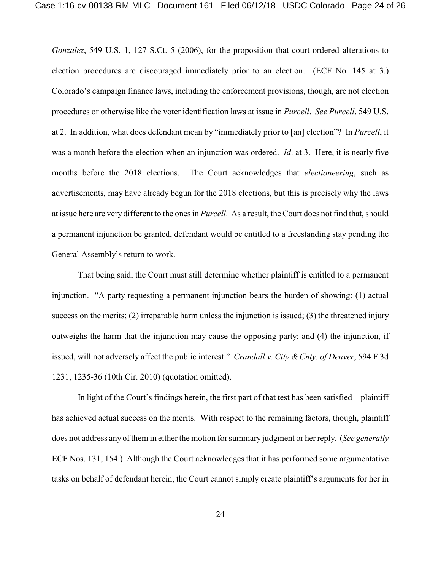*Gonzalez*, 549 U.S. 1, 127 S.Ct. 5 (2006), for the proposition that court-ordered alterations to election procedures are discouraged immediately prior to an election. (ECF No. 145 at 3.) Colorado's campaign finance laws, including the enforcement provisions, though, are not election procedures or otherwise like the voter identification laws at issue in *Purcell*. *See Purcell*, 549 U.S. at 2. In addition, what does defendant mean by "immediately prior to [an] election"? In *Purcell*, it was a month before the election when an injunction was ordered. *Id*. at 3. Here, it is nearly five months before the 2018 elections. The Court acknowledges that *electioneering*, such as advertisements, may have already begun for the 2018 elections, but this is precisely why the laws at issue here are very different to the ones in *Purcell*. As a result, the Court does not find that, should a permanent injunction be granted, defendant would be entitled to a freestanding stay pending the General Assembly's return to work.

That being said, the Court must still determine whether plaintiff is entitled to a permanent injunction. "A party requesting a permanent injunction bears the burden of showing: (1) actual success on the merits; (2) irreparable harm unless the injunction is issued; (3) the threatened injury outweighs the harm that the injunction may cause the opposing party; and (4) the injunction, if issued, will not adversely affect the public interest." *Crandall v. City & Cnty. of Denver*, 594 F.3d 1231, 1235-36 (10th Cir. 2010) (quotation omitted).

In light of the Court's findings herein, the first part of that test has been satisfied—plaintiff has achieved actual success on the merits. With respect to the remaining factors, though, plaintiff does not address any of them in either the motion forsummary judgment or her reply. (*See generally* ECF Nos. 131, 154.) Although the Court acknowledges that it has performed some argumentative tasks on behalf of defendant herein, the Court cannot simply create plaintiff's arguments for her in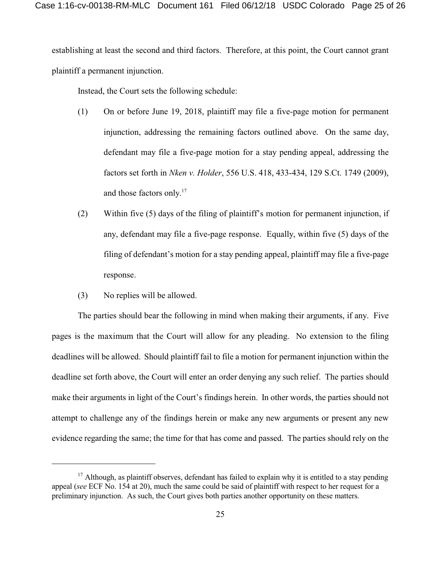establishing at least the second and third factors. Therefore, at this point, the Court cannot grant plaintiff a permanent injunction.

Instead, the Court sets the following schedule:

- (1) On or before June 19, 2018, plaintiff may file a five-page motion for permanent injunction, addressing the remaining factors outlined above. On the same day, defendant may file a five-page motion for a stay pending appeal, addressing the factors set forth in *Nken v. Holder*, 556 U.S. 418, 433-434, 129 S.Ct. 1749 (2009), and those factors only. 17
- (2) Within five (5) days of the filing of plaintiff's motion for permanent injunction, if any, defendant may file a five-page response. Equally, within five (5) days of the filing of defendant's motion for a stay pending appeal, plaintiff may file a five-page response.
- (3) No replies will be allowed.

The parties should bear the following in mind when making their arguments, if any. Five pages is the maximum that the Court will allow for any pleading. No extension to the filing deadlines will be allowed. Should plaintiff fail to file a motion for permanent injunction within the deadline set forth above, the Court will enter an order denying any such relief. The parties should make their arguments in light of the Court's findings herein. In other words, the parties should not attempt to challenge any of the findings herein or make any new arguments or present any new evidence regarding the same; the time for that has come and passed. The parties should rely on the

<sup>&</sup>lt;sup>17</sup> Although, as plaintiff observes, defendant has failed to explain why it is entitled to a stay pending appeal (*see* ECF No. 154 at 20), much the same could be said of plaintiff with respect to her request for a preliminary injunction. As such, the Court gives both parties another opportunity on these matters.